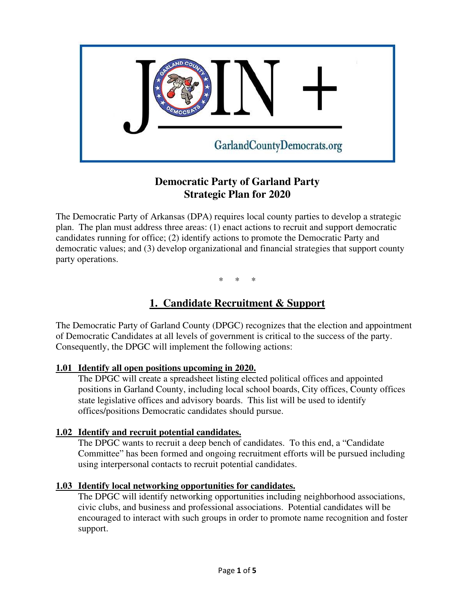

# **Democratic Party of Garland Party Strategic Plan for 2020**

The Democratic Party of Arkansas (DPA) requires local county parties to develop a strategic plan. The plan must address three areas: (1) enact actions to recruit and support democratic candidates running for office; (2) identify actions to promote the Democratic Party and democratic values; and (3) develop organizational and financial strategies that support county party operations.

\* \* \*

# **1. Candidate Recruitment & Support**

The Democratic Party of Garland County (DPGC) recognizes that the election and appointment of Democratic Candidates at all levels of government is critical to the success of the party. Consequently, the DPGC will implement the following actions:

### **1.01 Identify all open positions upcoming in 2020.**

The DPGC will create a spreadsheet listing elected political offices and appointed positions in Garland County, including local school boards, City offices, County offices state legislative offices and advisory boards. This list will be used to identify offices/positions Democratic candidates should pursue.

### **1.02 Identify and recruit potential candidates.**

The DPGC wants to recruit a deep bench of candidates. To this end, a "Candidate Committee" has been formed and ongoing recruitment efforts will be pursued including using interpersonal contacts to recruit potential candidates.

## **1.03 Identify local networking opportunities for candidates.**

The DPGC will identify networking opportunities including neighborhood associations, civic clubs, and business and professional associations. Potential candidates will be encouraged to interact with such groups in order to promote name recognition and foster support.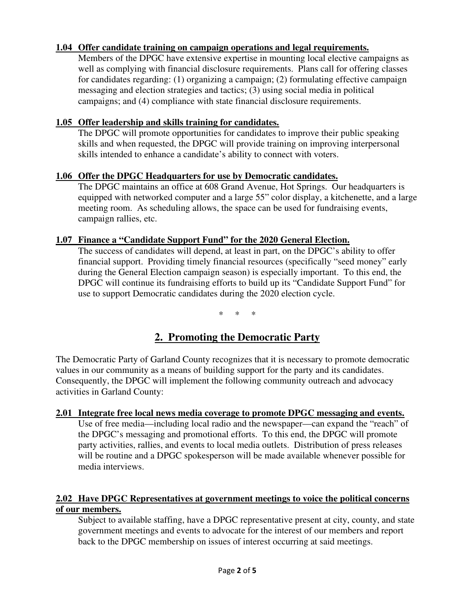## **1.04 Offer candidate training on campaign operations and legal requirements.**

Members of the DPGC have extensive expertise in mounting local elective campaigns as well as complying with financial disclosure requirements. Plans call for offering classes for candidates regarding: (1) organizing a campaign; (2) formulating effective campaign messaging and election strategies and tactics; (3) using social media in political campaigns; and (4) compliance with state financial disclosure requirements.

### **1.05 Offer leadership and skills training for candidates.**

The DPGC will promote opportunities for candidates to improve their public speaking skills and when requested, the DPGC will provide training on improving interpersonal skills intended to enhance a candidate's ability to connect with voters.

### **1.06 Offer the DPGC Headquarters for use by Democratic candidates.**

The DPGC maintains an office at 608 Grand Avenue, Hot Springs. Our headquarters is equipped with networked computer and a large 55" color display, a kitchenette, and a large meeting room. As scheduling allows, the space can be used for fundraising events, campaign rallies, etc.

## **1.07 Finance a "Candidate Support Fund" for the 2020 General Election.**

The success of candidates will depend, at least in part, on the DPGC's ability to offer financial support. Providing timely financial resources (specifically "seed money" early during the General Election campaign season) is especially important. To this end, the DPGC will continue its fundraising efforts to build up its "Candidate Support Fund" for use to support Democratic candidates during the 2020 election cycle.

\* \* \*

# **2. Promoting the Democratic Party**

The Democratic Party of Garland County recognizes that it is necessary to promote democratic values in our community as a means of building support for the party and its candidates. Consequently, the DPGC will implement the following community outreach and advocacy activities in Garland County:

### **2.01 Integrate free local news media coverage to promote DPGC messaging and events.**

Use of free media—including local radio and the newspaper—can expand the "reach" of the DPGC's messaging and promotional efforts. To this end, the DPGC will promote party activities, rallies, and events to local media outlets. Distribution of press releases will be routine and a DPGC spokesperson will be made available whenever possible for media interviews.

### **2.02 Have DPGC Representatives at government meetings to voice the political concerns of our members.**

Subject to available staffing, have a DPGC representative present at city, county, and state government meetings and events to advocate for the interest of our members and report back to the DPGC membership on issues of interest occurring at said meetings.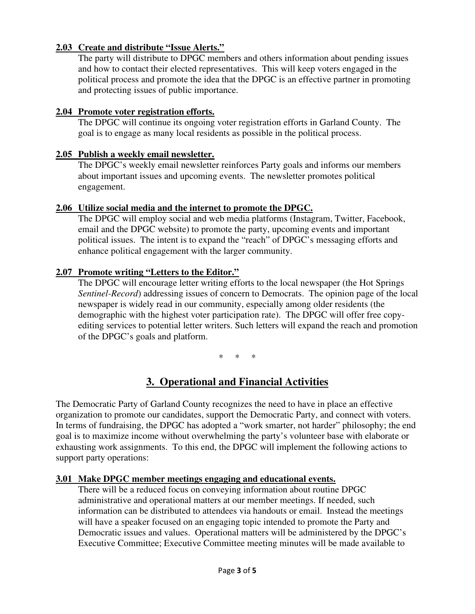## **2.03 Create and distribute "Issue Alerts."**

The party will distribute to DPGC members and others information about pending issues and how to contact their elected representatives. This will keep voters engaged in the political process and promote the idea that the DPGC is an effective partner in promoting and protecting issues of public importance.

## **2.04 Promote voter registration efforts.**

The DPGC will continue its ongoing voter registration efforts in Garland County. The goal is to engage as many local residents as possible in the political process.

### **2.05 Publish a weekly email newsletter.**

The DPGC's weekly email newsletter reinforces Party goals and informs our members about important issues and upcoming events. The newsletter promotes political engagement.

## **2.06 Utilize social media and the internet to promote the DPGC.**

The DPGC will employ social and web media platforms (Instagram, Twitter, Facebook, email and the DPGC website) to promote the party, upcoming events and important political issues. The intent is to expand the "reach" of DPGC's messaging efforts and enhance political engagement with the larger community.

## **2.07 Promote writing "Letters to the Editor."**

The DPGC will encourage letter writing efforts to the local newspaper (the Hot Springs *Sentinel-Record*) addressing issues of concern to Democrats. The opinion page of the local newspaper is widely read in our community, especially among older residents (the demographic with the highest voter participation rate). The DPGC will offer free copyediting services to potential letter writers. Such letters will expand the reach and promotion of the DPGC's goals and platform.

\* \* \*

# **3. Operational and Financial Activities**

The Democratic Party of Garland County recognizes the need to have in place an effective organization to promote our candidates, support the Democratic Party, and connect with voters. In terms of fundraising, the DPGC has adopted a "work smarter, not harder" philosophy; the end goal is to maximize income without overwhelming the party's volunteer base with elaborate or exhausting work assignments. To this end, the DPGC will implement the following actions to support party operations:

### **3.01 Make DPGC member meetings engaging and educational events.**

There will be a reduced focus on conveying information about routine DPGC administrative and operational matters at our member meetings. If needed, such information can be distributed to attendees via handouts or email. Instead the meetings will have a speaker focused on an engaging topic intended to promote the Party and Democratic issues and values. Operational matters will be administered by the DPGC's Executive Committee; Executive Committee meeting minutes will be made available to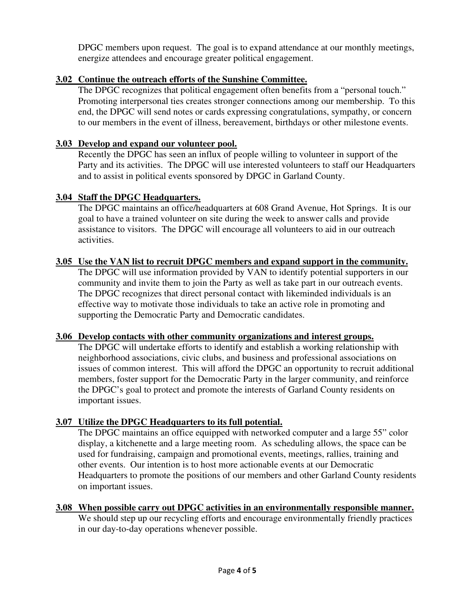DPGC members upon request. The goal is to expand attendance at our monthly meetings, energize attendees and encourage greater political engagement.

## **3.02 Continue the outreach efforts of the Sunshine Committee.**

The DPGC recognizes that political engagement often benefits from a "personal touch." Promoting interpersonal ties creates stronger connections among our membership. To this end, the DPGC will send notes or cards expressing congratulations, sympathy, or concern to our members in the event of illness, bereavement, birthdays or other milestone events.

## **3.03 Develop and expand our volunteer pool.**

Recently the DPGC has seen an influx of people willing to volunteer in support of the Party and its activities. The DPGC will use interested volunteers to staff our Headquarters and to assist in political events sponsored by DPGC in Garland County.

## **3.04 Staff the DPGC Headquarters.**

The DPGC maintains an office/headquarters at 608 Grand Avenue, Hot Springs. It is our goal to have a trained volunteer on site during the week to answer calls and provide assistance to visitors. The DPGC will encourage all volunteers to aid in our outreach activities.

### **3.05 Use the VAN list to recruit DPGC members and expand support in the community.**

The DPGC will use information provided by VAN to identify potential supporters in our community and invite them to join the Party as well as take part in our outreach events. The DPGC recognizes that direct personal contact with likeminded individuals is an effective way to motivate those individuals to take an active role in promoting and supporting the Democratic Party and Democratic candidates.

### **3.06 Develop contacts with other community organizations and interest groups.**

The DPGC will undertake efforts to identify and establish a working relationship with neighborhood associations, civic clubs, and business and professional associations on issues of common interest. This will afford the DPGC an opportunity to recruit additional members, foster support for the Democratic Party in the larger community, and reinforce the DPGC's goal to protect and promote the interests of Garland County residents on important issues.

## **3.07 Utilize the DPGC Headquarters to its full potential.**

The DPGC maintains an office equipped with networked computer and a large 55" color display, a kitchenette and a large meeting room. As scheduling allows, the space can be used for fundraising, campaign and promotional events, meetings, rallies, training and other events. Our intention is to host more actionable events at our Democratic Headquarters to promote the positions of our members and other Garland County residents on important issues.

## **3.08 When possible carry out DPGC activities in an environmentally responsible manner.**

We should step up our recycling efforts and encourage environmentally friendly practices in our day-to-day operations whenever possible.